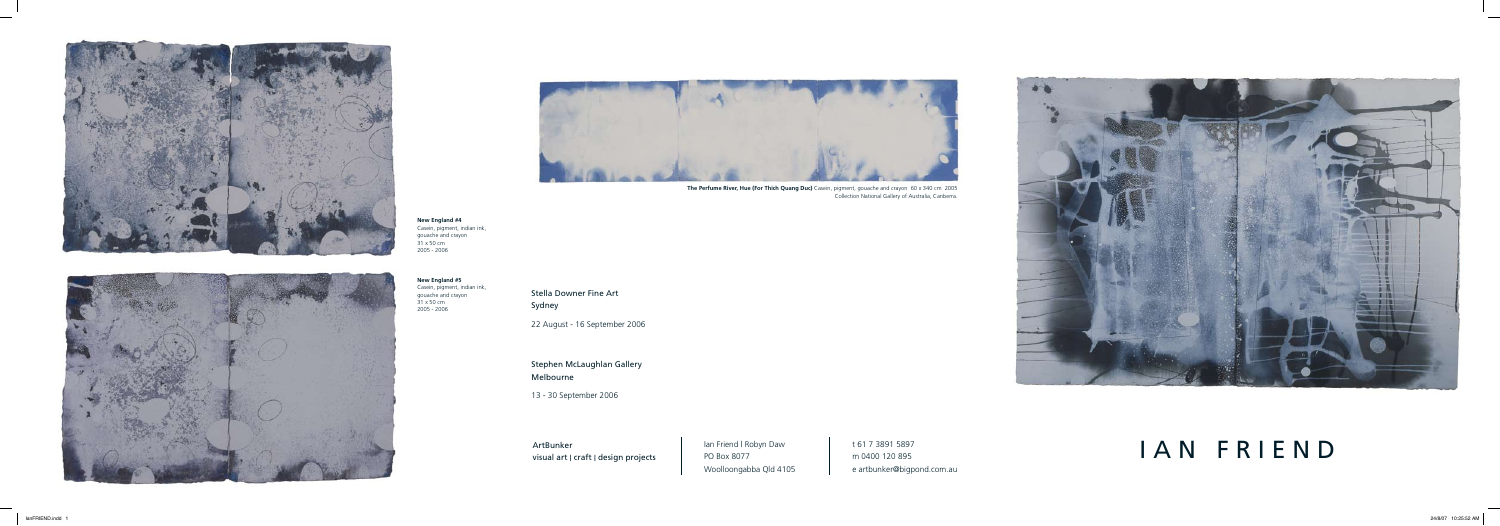Stella Downer Fine Art Sydney

22 August - 16 September 2006

Stephen McLaughlan Gallery Melbourne

> Ian Friend I Robyn Daw Woolloongabba Qld 4105

13 - 30 September 2006

ArtBunker visual art | craft | design projects PO Box 8077



t 61 7 3891 5897 m 0400 120 895 e artbunker@bigpond.com.au

# I A N F R I E N D







**New England #4** Casein, pigment, indian ink, gouache and crayon 31 x 50 cm 2005 - 2006

**New England #5** Casein, pigment, indian ink, gouache and crayon 31 x 50 cm 2005 - 2006

**The Perfume River, Hue (For Thich Quang Duc)** Casein, pigment, gouache and crayon 60 x 340 cm 2005 Collection National Gallery of Australia, Canberra.